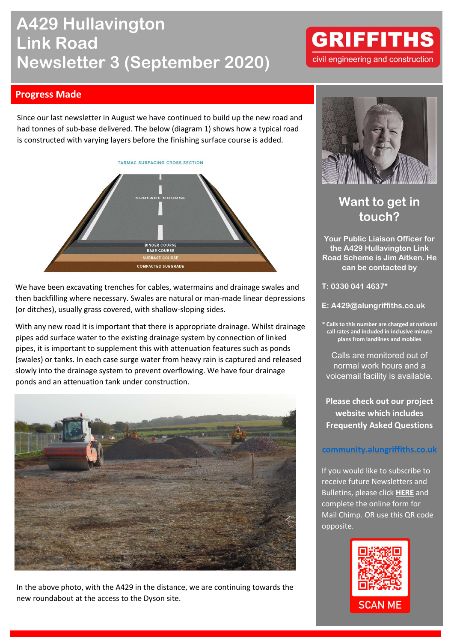# A429 Hullavington Link Road Newsletter 3 (September 2020)

## **GRIFFITHS** civil engineering and construction

### Progress Made

Since our last newsletter in August we have continued to build up the new road and had tonnes of sub-base delivered. The below (diagram 1) shows how a typical road is constructed with varying layers before the finishing surface course is added.



We have been excavating trenches for cables, watermains and drainage swales and then backfilling where necessary. Swales are natural or man-made linear depressions (or ditches), usually grass covered, with shallow-sloping sides.

With any new road it is important that there is appropriate drainage. Whilst drainage pipes add surface water to the existing drainage system by connection of linked pipes, it is important to supplement this with attenuation features such as ponds (swales) or tanks. In each case surge water from heavy rain is captured and released slowly into the drainage system to prevent overflowing. We have four drainage ponds and an attenuation tank under construction.



In the above photo, with the A429 in the distance, we are continuing towards the new roundabout at the access to the Dyson site.



### Want to get in touch?

Your Public Liaison Officer for the A429 Hullavington Link Road Scheme is Jim Aitken. He can be contacted by

T: 0330 041 4637\*

E: A429@alungriffiths.co.uk

\* Calls to this number are charged at national call rates and included in inclusive minute plans from landlines and mobiles

Calls are monitored out of normal work hours and a voicemail facility is available.

Please check out our project website which includes Frequently Asked Questions

#### community.alungriffiths.co.uk

If you would like to subscribe to receive future Newsletters and Bulletins, please click HERE and complete the online form for Mail Chimp. OR use this QR code opposite.